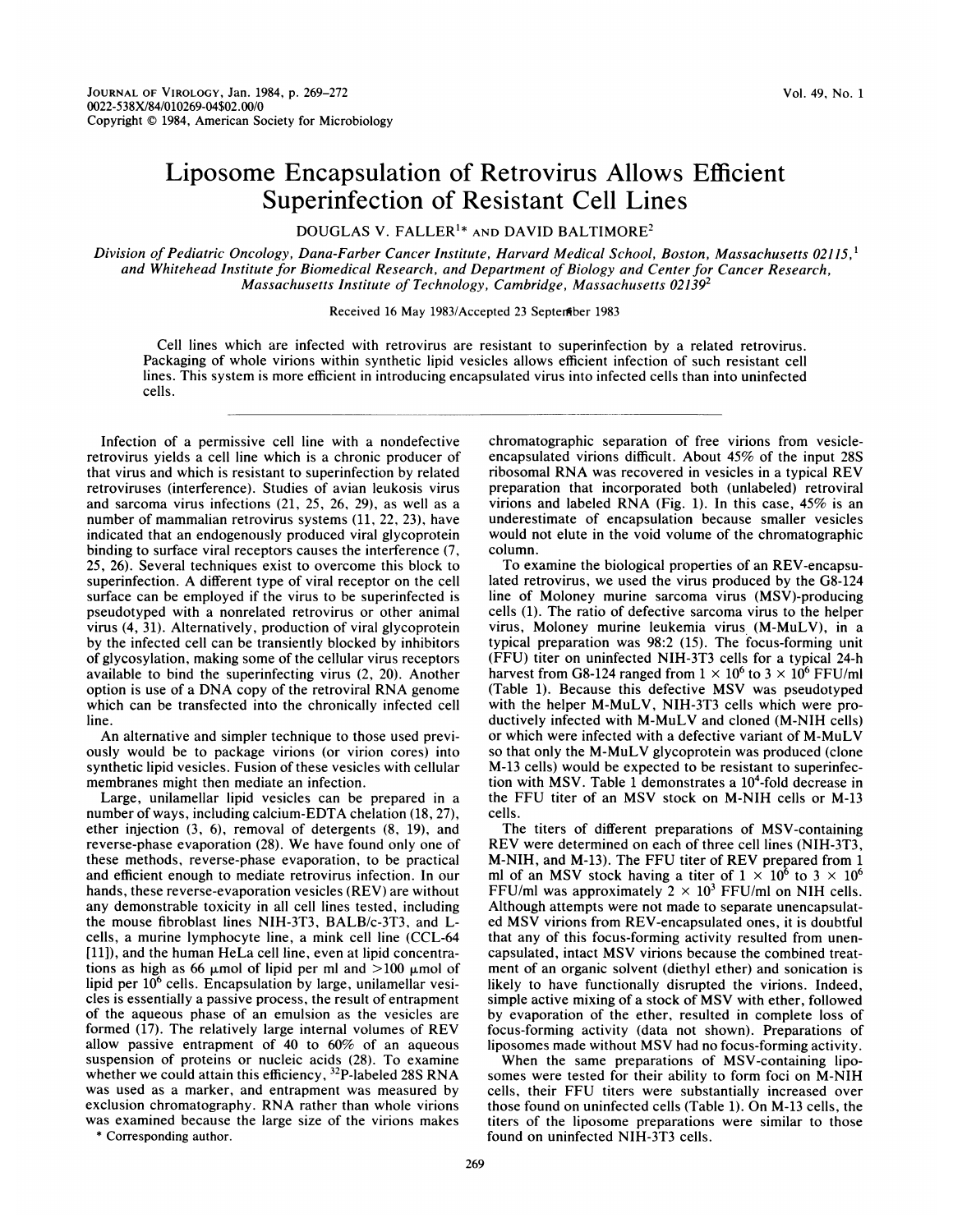## Liposome Encapsulation of Retrovirus Allows Efficient Superinfection of Resistant Cell Lines

DOUGLAS V. FALLER'\* AND DAVID BALTIMORE2

Division of Pediatric Oncology, Dana-Farber Cancer Institute, Harvard Medical School, Boston, Massachusetts 02115,<sup>1</sup> and Whitehead Institute for Biomedical Research, and Department of Biology and Center for Cancer Research, Massachusetts Institute of Technology, Cambridge, Massachusetts 021392

## Received 16 May 1983/Accepted 23 Septerfiber 1983

Cell lines which are infected with retrovirus are resistant to superinfection by a related retrovirus. Packaging of whole virions within synthetic lipid vesicles allows efficient infection of such resistant cell lines. This system is more efficient in introducing encapsulated virus into infected cells than into uninfected cells.

Infection of a permissive cell line with a nondefective retrovirus yields a cell line which is a chronic producer of that virus and which is resistant to superinfection by related retroviruses (interference). Studies of avian leukosis virus and sarcoma virus infections (21, 25, 26, 29), as well as a number of mammalian retrovirus systems (11, 22, 23), have indicated that an endogenously produced viral glycoprotein binding to surface viral receptors causes the interference (7, 25, 26). Several techniques exist to overcome this block to superinfection. A different type of viral receptor on the cell surface can be employed if the virus to be superinfected is pseudotyped with a nonrelated retrovirus or other animal virus (4, 31). Alternatively, production of viral glycoprotein by the infected cell can be transiently blocked by inhibitors of glycosylation, making some of the cellular virus receptors available to bind the superinfecting virus (2, 20). Another option is use of <sup>a</sup> DNA copy of the retroviral RNA genome which can be transfected into the chronically infected cell line.

An alternative and simpler technique to those used previously would be to package virions (or virion cores) into synthetic lipid vesicles. Fusion of these vesicles with cellular membranes might then mediate an infection.

Large, unilamellar lipid vesicles can be prepared in a number of ways, including calcium-EDTA chelation (18, 27), ether injection (3, 6), removal of detergents (8, 19), and reverse-phase evaporation (28). We have found only one of these methods, reverse-phase evaporation, to be practical and efficient enough to mediate retrovirus infection. In our hands, these reverse-evaporation vesicles (REV) are without any demonstrable toxicity in all cell lines tested, including the mouse fibroblast lines NIH-3T3, BALB/c-3T3, and Lcells, a murine lymphocyte line, a mink cell line (CCL-64 [11]), and the human HeLa cell line, even at lipid concentrations as high as 66  $\mu$ mol of lipid per ml and >100  $\mu$ mol of lipid per  $10<sup>6</sup>$  cells. Encapsulation by large, unilamellar vesicles is essentially a passive process, the result of entrapment of the aqueous phase of an emulsion as the vesicles are formed (17). The relatively large internal volumes of REV allow passive entrapment of 40 to 60% of an aqueous suspension of proteins or nucleic acids (28). To examine whether we could attain this efficiency, <sup>32</sup>P-labeled 28S RNA was used as a marker, and entrapment was measured by exclusion chromatography. RNA rather than whole virions was examined because the large size of the virions makes \* Corresponding author.

chromatographic separation of free virions from vesicleencapsulated virions difficult. About 45% of the input 28S ribosomal RNA was recovered in vesicles in <sup>a</sup> typical REV preparation that incorporated both (unlabeled) retroviral virions and labeled RNA (Fig. 1). In this case, 45% is an underestimate of encapsulation because smaller vesicles would not elute in the void volume of the chromatographic column.

To examine the biological properties of an REV-encapsulated retrovirus, we used the virus produced by the G8-124 line of Moloney murine sarcoma virus (MSV)-producing cells (1). The ratio of defective sarcoma virus to the helper virus, Moloney murine leukemia virus (M-MuLV), in a typical preparation was 98:2 (15). The focus-forming unit (FFU) titer on uninfected NIH-3T3 cells for a typical 24-h harvest from G8-124 ranged from  $1 \times 10^6$  to  $3 \times 10^6$  FFU/ml<br>(Table 1). Because this defective MSV was pseudotyped with the helper M-MuLV, NIH-3T3 cells which were productively infected with M-MuLV and cloned (M-NIH cells) or which were infected with <sup>a</sup> defective variant of M-MuLV so that only the M-MuLV glycoprotein was produced (clone M-13 cells) would be expected to be resistant to superinfection with MSV. Table 1 demonstrates a  $10<sup>4</sup>$ -fold decrease in the FFU titer of an MSV stock on M-NIH cells or M-13 cells.

The titers of different preparations of MSV-containing REV were determined on each of three cell lines (NIH-3T3, M-NIH, and M-13). The FFU titer of REV prepared from <sup>1</sup> ml of an MSV stock having a titer of  $1 \times 10^6$  to  $3 \times 10^6$ FFU/ml was approximately  $2 \times 10^3$  FFU/ml on NIH cells. Although attempts were not made to separate unencapsulated MSV virions from REV-encapsulated ones, it is doubtful that any of this focus-forming activity resulted from unencapsulated, intact MSV virions because the combined treatment of an organic solvent (diethyl ether) and sonication is likely to have functionally disrupted the virions. Indeed, simple active mixing of <sup>a</sup> stock of MSV with ether, followed by evaporation of the ether, resulted in complete loss of focus-forming activity (data not shown). Preparations of liposomes made without MSV had no focus-forming activity.

When the same preparations of MSV-containing liposomes were tested for their ability to form foci on M-NIH cells, their FFU titers were substantially increased over those found on uninfected cells (Table 1). On M-13 cells, the titers of the liposome preparations were similar to those found on uninfected NIH-3T3 cells.

269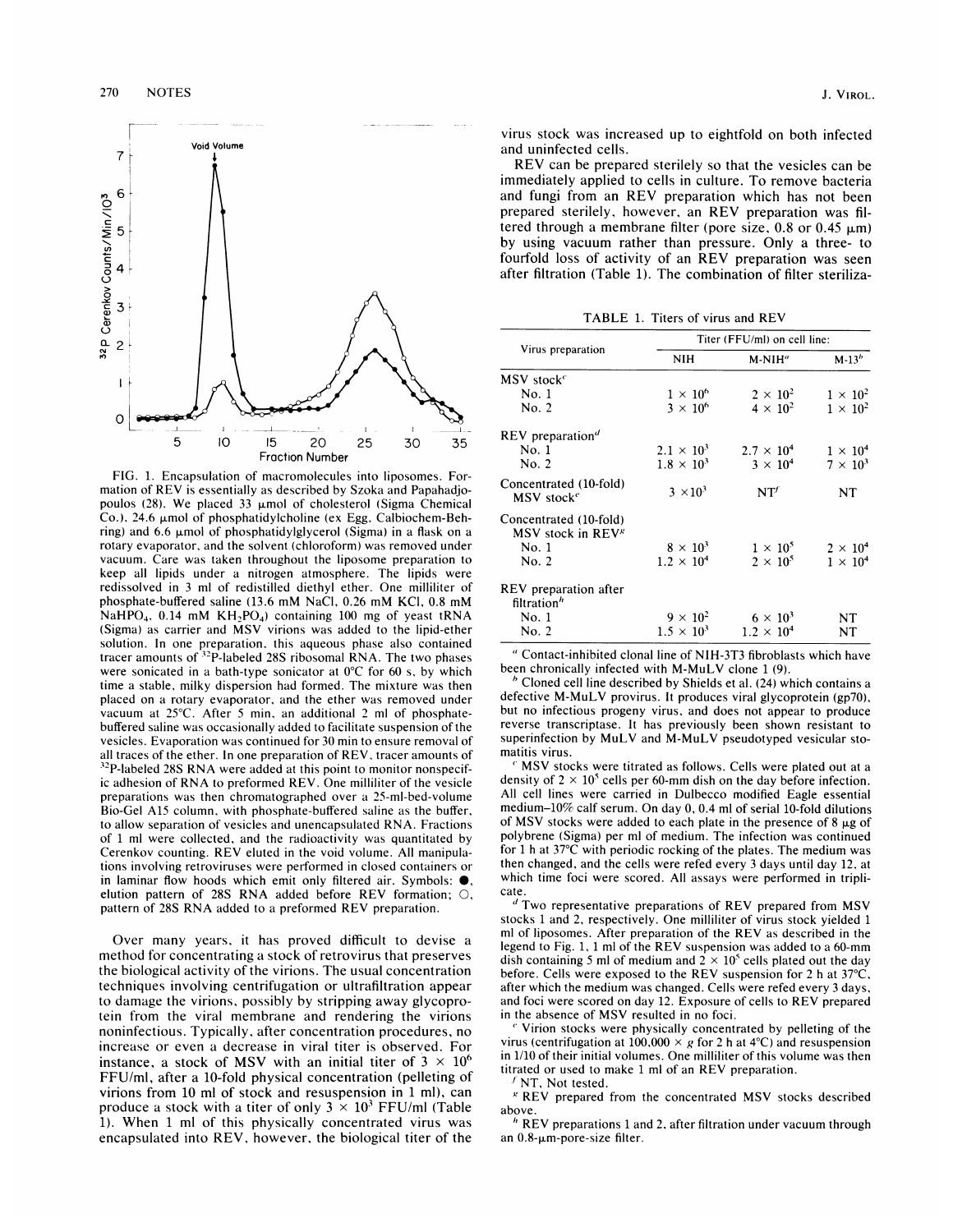

FIG. 1. Encapsulation of macromolecules into liposomes. Formation of REV is essentially as described by Szoka and Papahadjopoulos (28). We placed 33  $\mu$ mol of cholesterol (Sigma Chemical Co.), 24.6  $\mu$ mol of phosphatidylcholine (ex Egg, Calbiochem-Behring) and 6.6  $\mu$ mol of phosphatidylglycerol (Sigma) in a flask on a rotary evaporator, and the solvent (chloroform) was removed under vacuum. Care was taken throughout the liposome preparation to keep all lipids under a nitrogen atmosphere. The lipids were redissolved in <sup>3</sup> ml of redistilled diethyl ether. One milliliter of phosphate-buffered saline (13.6 mM NaCl, 0.26 mM KCI, 0.8 mM NaHPO<sub>4</sub>, 0.14 mM KH<sub>2</sub>PO<sub>4</sub>) containing 100 mg of yeast tRNA (Sigma) as carrier and MSV virions was added to the lipid-ether solution. In one preparation, this aqueous phase also contained tracer amounts of <sup>32</sup>P-labeled 28S ribosomal RNA. The two phases were sonicated in a bath-type sonicator at 0°C for 60 s, by which time a stable, milky dispersion had formed. The mixture was then placed on a rotary evaporator, and the ether was removed under vacuum at 25°C. After <sup>5</sup> min, an additional 2 ml of phosphatebuffered saline was occasionally added to facilitate suspension of the vesicles. Evaporation was continued for 30 min to ensure removal of all traces of the ether. In one preparation of REV, tracer amounts of <sup>32</sup>P-labeled 28S RNA were added at this point to monitor nonspecific adhesion of RNA to preformed REV. One milliliter of the vesicle preparations was then chromatographed over a 25-ml-bed-volume Bio-Gel A15 column, with phosphate-buffered saline as the buffer, to allow separation of vesicles and unencapsulated RNA. Fractions of <sup>1</sup> ml were collected, and the radioactivity was quantitated by Cerenkov counting. REV eluted in the void volume. All manipulations involving retroviruses were performed in closed containers or in laminar flow hoods which emit only filtered air. Symbols:  $\bullet$ , elution pattern of 28S RNA added before REV formation; 0, pattern of 28S RNA added to <sup>a</sup> preformed REV preparation.

Over many years, it has proved difficult to devise a method for concentrating a stock of retrovirus that preserves the biological activity of the virions. The usual concentration techniques involving centrifugation or ultrafiltration appear to damage the virions, possibly by stripping away glycoprotein from the viral membrane and rendering the virions noninfectious. Typically, after concentration procedures, no increase or even a decrease in viral titer is observed. For instance, a stock of MSV with an initial titer of  $3 \times 10^6$ FFU/ml, after a 10-fold physical concentration (pelleting of virions from 10 ml of stock and resuspension in <sup>1</sup> ml), can produce a stock with a titer of only  $3 \times 10^3$  FFU/ml (Table 1). When <sup>1</sup> ml of this physically concentrated virus was encapsulated into REV, however, the biological titer of the

virus stock was increased up to eightfold on both infected and uninfected cells.

REV can be prepared sterilely so that the vesicles can be immediately applied to cells in culture. To remove bacteria and fungi from an REV preparation which has not been prepared sterilely, however, an REV preparation was filtered through a membrane filter (pore size,  $0.8$  or  $0.45 \mu m$ ) by using vacuum rather than pressure. Only a three- to fourfold loss of activity of an REV preparation was seen after filtration (Table 1). The combination of filter steriliza-

TABLE 1. Titers of virus and REV

| Virus preparation                                                         | Titer (FFU/ml) on cell line:         |                                    |                                    |
|---------------------------------------------------------------------------|--------------------------------------|------------------------------------|------------------------------------|
|                                                                           | NIH                                  | M-NIH"                             | $M-13b$                            |
| MSV stock $^c$                                                            |                                      |                                    |                                    |
| No. 1                                                                     | $1\times10^6$                        | $2 \times 10^2$                    | $1 \times 10^2$                    |
| No. 2                                                                     | $3 \times 10^6$                      | $4 \times 10^2$                    | $1 \times 10^2$                    |
| REV preparation <sup>d</sup>                                              |                                      |                                    |                                    |
| No.1                                                                      | $2.1 \times 10^{3}$                  | $2.7 \times 10^4$                  | $1 \times 10^4$                    |
| No. 2                                                                     | $1.8 \times 10^{3}$                  | $3 \times 10^4$                    | $7 \times 10^3$                    |
| Concentrated (10-fold)<br>MSV stock <sup>e</sup>                          | $3 \times 10^3$                      | NT'                                | NT                                 |
| Concentrated (10-fold)<br>MSV stock in REV <sup>g</sup><br>No. 1<br>No. 2 | $8 \times 10^3$<br>$1.2 \times 10^4$ | $1 \times 10^5$<br>$2 \times 10^5$ | $2 \times 10^4$<br>$1 \times 10^4$ |
| REV preparation after<br>filtration <sup>h</sup>                          |                                      |                                    |                                    |
| No. 1                                                                     | $9 \times 10^2$                      | $6 \times 10^3$                    | NT                                 |
| No. 2                                                                     | $1.5 \times 10^{3}$                  | $1.2 \times 10^{4}$                | NT                                 |

"Contact-inhibited clonal line of NIH-3T3 fibroblasts which have been chronically infected with M-MuLV clone <sup>1</sup> (9).

<sup>b</sup> Cloned cell line described by Shields et al. (24) which contains <sup>a</sup> defective M-MuLV provirus. It produces viral glycoprotein (gp7O), but no infectious progeny virus, and does not appear to produce reverse transcriptase. It has previously been shown resistant to superinfection by MuLV and M-MuLV pseudotyped vesicular stomatitis virus.

 MSV stocks were titrated as follows. Cells were plated out at <sup>a</sup> density of  $2 \times 10^5$  cells per 60-mm dish on the day before infection. All cell lines were carried in Dulbecco modified Eagle essential medium-10% calf serum. On day 0, 0.4 ml of serial 10-fold dilutions of MSV stocks were added to each plate in the presence of  $8 \mu g$  of polybrene (Sigma) per ml of medium. The infection was continued for <sup>1</sup> h at 37°C with periodic rocking of the plates. The medium was then changed, and the cells were refed every 3 days until day 12, at which time foci were scored. All assays were performed in triplicate.

 $d$  Two representative preparations of REV prepared from MSV stocks <sup>1</sup> and 2, respectively. One milliliter of virus stock yielded <sup>1</sup> ml of liposomes. After preparation of the REV as described in the legend to Fig. 1, <sup>1</sup> ml of the REV suspension was added to <sup>a</sup> 60-mm dish containing 5 ml of medium and  $2 \times 10^5$  cells plated out the day before. Cells were exposed to the REV suspension for 2 h at 37°C, after which the medium was changed. Cells were refed every <sup>3</sup> days, and foci were scored on day 12. Exposure of cells to REV prepared in the absence of MSV resulted in no foci.

Virion stocks were physically concentrated by pelleting of the virus (centrifugation at 100,000  $\times$  g for 2 h at 4°C) and resuspension in 1/10 of their initial volumes. One milliliter of this volume was then titrated or used to make <sup>1</sup> ml of an REV preparation.

'NT, Not tested.

 $K$  REV prepared from the concentrated MSV stocks described above.

 $^h$  REV preparations 1 and 2, after filtration under vacuum through an 0.8-um-pore-size filter.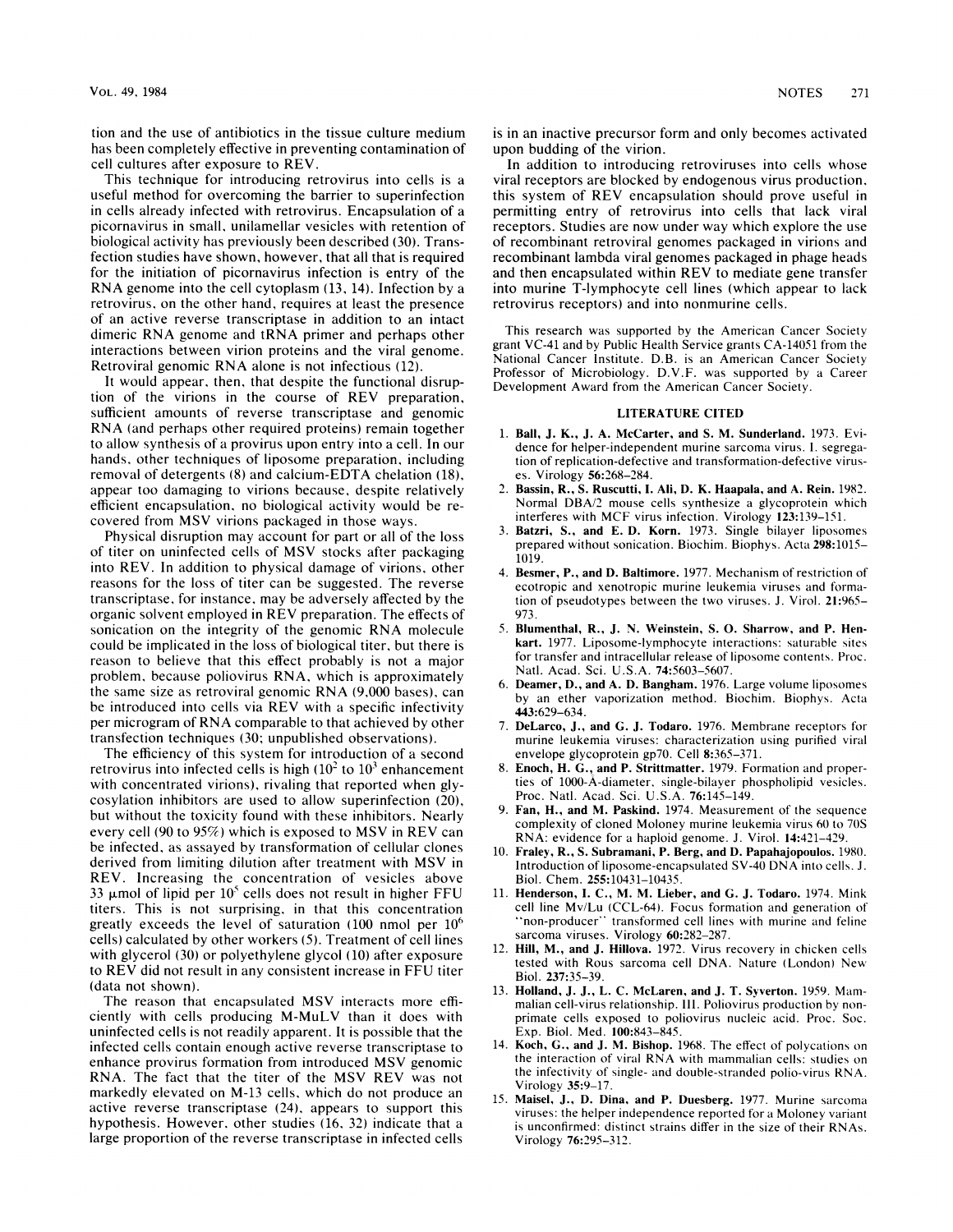tion and the use of antibiotics in the tissue culture medium has been completely effective in preventing contamination of cell cultures after exposure to REV.

This technique for introducing retrovirus into cells is a useful method for overcoming the barrier to superinfection in cells already infected with retrovirus. Encapsulation of a picornavirus in small, unilamellar vesicles with retention of biological activity has previously been described (30). Transfection studies have shown, however, that all that is required for the initiation of picornavirus infection is entry of the RNA genome into the cell cytoplasm (13, 14). Infection by <sup>a</sup> retrovirus, on the other hand, requires at least the presence of an active reverse transcriptase in addition to an intact dimeric RNA genome and tRNA primer and perhaps other interactions between virion proteins and the viral genome. Retroviral genomic RNA alone is not infectious (12).

It would appear, then, that despite the functional disruption of the virions in the course of REV preparation, sufficient amounts of reverse transcriptase and genomic RNA (and perhaps other required proteins) remain together to allow synthesis of a provirus upon entry into a cell. In our hands, other techniques of liposome preparation, including removal of detergents (8) and calcium-EDTA chelation (18), appear too damaging to virions because, despite relatively efficient encapsulation, no biological activity would be recovered from MSV virions packaged in those ways.

Physical disruption may account for part or all of the loss of titer on uninfected cells of MSV stocks after packaging into REV. In addition to physical damage of virions, other reasons for the loss of titer can be suggested. The reverse transcriptase, for instance, may be adversely affected by the organic solvent employed in REV preparation. The effects of sonication on the integrity of the genomic RNA molecule could be implicated in the loss of biological titer, but there is reason to believe that this effect probably is not a major problem, because poliovirus RNA, which is approximately the same size as retroviral genomic RNA (9,000 bases), can be introduced into cells via REV with <sup>a</sup> specific infectivity per microgram of RNA comparable to that achieved by other transfection techniques (30; unpublished observations).

The efficiency of this system for introduction of <sup>a</sup> second retrovirus into infected cells is high  $(10<sup>2</sup>$  to  $10<sup>3</sup>$  enhancement with concentrated virions), rivaling that reported when glycosylation inhibitors are used to allow superinfection (20), but without the toxicity found with these inhibitors. Nearly every cell (90 to 95%) which is exposed to MSV in REV can be infected, as assayed by transformation of cellular clones derived from limiting dilution after treatment with MSV in REV. Increasing the concentration of vesicles above 33  $\mu$ mol of lipid per 10<sup>5</sup> cells does not result in higher FFU titers. This is not surprising, in that this concentration greatly exceeds the level of saturation (100 nmol per  $10<sup>6</sup>$ cells) calculated by other workers (5). Treatment of cell lines with glycerol (30) or polyethylene glycol (10) after exposure to REV did not result in any consistent increase in FFU titer (data not shown).

The reason that encapsulated MSV interacts more efficiently with cells producing M-MuLV than it does with uninfected cells is not readily apparent. It is possible that the infected cells contain enough active reverse transcriptase to enhance provirus formation from introduced MSV genomic RNA. The fact that the titer of the MSV REV was not markedly elevated on M-13 cells, which do not produce an active reverse transcriptase (24), appears to support this hypothesis. However, other studies (16, 32) indicate that a large proportion of the reverse transcriptase in infected cells

is in an inactive precursor form and only becomes activated upon budding of the virion.

In addition to introducing retroviruses into cells whose viral receptors are blocked by endogenous virus production, this system of REV encapsulation should prove useful in permitting entry of retrovirus into cells that lack viral receptors. Studies are now under way which explore the use of recombinant retroviral genomes packaged in virions and recombinant lambda viral genomes packaged in phage heads and then encapsulated within REV to mediate gene transfer into murine T-lymphocyte cell lines (which appear to lack retrovirus receptors) and into nonmurine cells.

This research was supported by the American Cancer Society grant VC-41 and by Public Health Service grants CA-14051 from the National Cancer Institute. D.B. is an American Cancer Society Professor of Microbiology. D.V.F. was supported by a Career Development Award from the American Cancer Society.

## LITERATURE CITED

- 1. Ball, J. K., J. A. McCarter, and S. M. Sunderland. 1973. Evidence for helper-independent murine sarcoma virus. 1. segregation of replication-defective and transformation-defective viruses. Virology 56:268-284.
- 2. Bassin, R., S. Ruscutti, I. Ali, D. K. Haapala, and A. Rein. 1982. Normal DBA/2 mouse cells synthesize <sup>a</sup> glycoprotein which interferes with MCF virus infection. Virology 123:139-151.
- Batzri, S., and E. D. Korn. 1973. Single bilayer liposomes prepared without sonication. Biochim. Biophys. Acta 298:1015- 1019.
- 4. Besmer, P., and D. Baltimore. 1977. Mechanism of restriction of ecotropic and xenotropic murine leukemia viruses and formation of pseudotypes between the two viruses. J. Virol. 21:965- 973.
- 5. Blumenthal, R., J. N. Weinstein, S. 0. Sharrow, and P. Henkart. 1977. Liposome-lymphocyte interactions: saturable sites for transfer and intracellular release of liposome contents. Proc. Natl. Acad. Sci. U.S.A. 74:5603-5607.
- 6. Deamer, D., and A. D. Bangham. 1976. Large volume liposomes by an ether vaporization method. Biochim. Biophys. Acta 443:629-634.
- 7. DeLarco, J., and G. J. Todaro. 1976. Membrane receptors for murine leukemia viruses: characterization using purified viral envelope glycoprotein gp7O. Cell 8:365-371.
- 8. Enoch, H. G., and P. Strittmatter. 1979. Formation and properties of 1000-A-diameter, single-bilayer phospholipid vesicles. Proc. Natl. Acad. Sci. U.S.A. 76:145-149.
- 9. Fan, H., and M. Paskind. 1974. Measurement of the sequence complexity of cloned Moloney murine leukemia virus 60 to 70S RNA: evidence for <sup>a</sup> haploid genome. J. Virol. 14:421-429.
- 10. Fraley, R., S. Subramani, P. Berg, and D. Papahajopoulos. 1980. Introduction of liposome-encapsulated SV-40 DNA into cells. J. Biol. Chem. 255:10431-10435.
- 11. Henderson, I. C., M. M. Lieber, and G. J. Todaro. 1974. Mink cell line Mv/Lu (CCL-64). Focus formation and generation of non-producer' transformed cell lines with murine and feline sarcoma viruses. Virology 60:282-287.
- 12. Hill, M., and J. Hillova. 1972. Virus recovery in chicken cells tested with Rous sarcoma cell DNA. Nature (London) New Biol. 237:35-39.
- 13. Holland, J. J., L. C. McLaren, and J. T. Syverton. 1959. Mammalian cell-virus relationship. 111. Poliovirus production by nonprimate cells exposed to poliovirus nucleic acid. Proc. Soc. Exp. Biol. Med. 100:843-845.
- 14. Koch, G., and J. M. Bishop. 1968. The effect of polycations on the interaction of viral RNA with mammalian cells: studies on the infectivity of single- and double-stranded polio-virus RNA. Virology 35:9-17.
- 15. Maisel, J., D. Dina, and P. Duesberg. 1977. Murine sarcoma viruses: the helper independence reported for <sup>a</sup> Moloney variant is unconfirmed: distinct strains differ in the size of their RNAs. Virology 76:295-312.